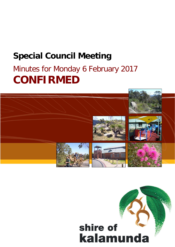## **Special Council Meeting**

# Minutes for Monday 6 February 2017 **CONFIRMED**



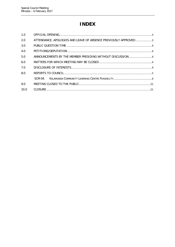## **INDEX**

| 1.0  |                                                                 |  |
|------|-----------------------------------------------------------------|--|
| 2.0  | ATTENDANCE, APOLOGIES AND LEAVE OF ABSENCE PREVIOUSLY APPROVED3 |  |
| 3.0  |                                                                 |  |
| 4.0  |                                                                 |  |
| 5.0  | ANNOUNCEMENTS BY THE MEMBER PRESIDING WITHOUT DISCUSSION4       |  |
| 6.0  |                                                                 |  |
| 7.0  |                                                                 |  |
| 8.0  |                                                                 |  |
|      | SCM 04                                                          |  |
| 9.0  |                                                                 |  |
| 10.0 |                                                                 |  |
|      |                                                                 |  |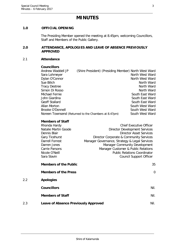### **MINUTES**

#### <span id="page-2-0"></span>**1.0 OFFICIAL OPENING**

The Presiding Member opened the meeting at 8.45pm, welcoming Councillors, Staff and Members of the Public Gallery.

#### <span id="page-2-1"></span>**2.0 ATTENDANCE, APOLOGIES AND LEAVE OF ABSENCE PREVIOUSLY APPROVED**

#### 2.1 **Attendance**

 $2.2$ 

| <b>Councillors</b>                                   |                                                      |  |                                               |  |
|------------------------------------------------------|------------------------------------------------------|--|-----------------------------------------------|--|
| Andrew Waddell JP                                    | (Shire President) (Presiding Member) North West Ward |  |                                               |  |
| Sara Lohmeyer                                        |                                                      |  | North West Ward                               |  |
| Dylan O'Connor                                       |                                                      |  | North West Ward                               |  |
| Sue Bilich                                           |                                                      |  | North Ward                                    |  |
| <b>Tracy Destree</b>                                 |                                                      |  | North Ward                                    |  |
| Simon Di Rosso                                       |                                                      |  | North Ward                                    |  |
| Michael Fernie                                       |                                                      |  | South East Ward                               |  |
| John Giardina                                        |                                                      |  | South East Ward                               |  |
| <b>Geoff Stallard</b>                                |                                                      |  | South East Ward                               |  |
| <b>Allan Morton</b>                                  |                                                      |  | South West Ward                               |  |
| Brooke O'Donnell                                     |                                                      |  | South West Ward                               |  |
| Noreen Townsend (Returned to the Chambers at 8.47pm) |                                                      |  | South West Ward                               |  |
| <b>Members of Staff</b>                              |                                                      |  |                                               |  |
| Rhonda Hardy                                         |                                                      |  | <b>Chief Executive Officer</b>                |  |
| Natalie Martin Goode                                 |                                                      |  | <b>Director Development Services</b>          |  |
| Dennis Blair                                         |                                                      |  | Director Asset Services                       |  |
| <b>Gary Ticehurst</b>                                |                                                      |  | Director Corporate & Community Services       |  |
| Darrell Forrest                                      |                                                      |  | Manager Governance, Strategy & Legal Services |  |
| Darren Jones                                         |                                                      |  | Manager Community Development                 |  |
| <b>Carrie Parsons</b>                                |                                                      |  | Manager Customer & Public Relations           |  |
| Nicole O'Neill                                       |                                                      |  | <b>Public Relations Coordinator</b>           |  |
| Sara Slavin                                          |                                                      |  | <b>Council Support Officer</b>                |  |

|     | <b>Members of the Public</b>                | 35             |
|-----|---------------------------------------------|----------------|
|     | <b>Members of the Press</b>                 | $\overline{0}$ |
| 2.2 | <b>Apologies</b>                            |                |
|     | <b>Councillors</b>                          | Nil.           |
|     | <b>Members of Staff</b>                     | Nil.           |
| 2.3 | <b>Leave of Absence Previously Approved</b> | Nil.           |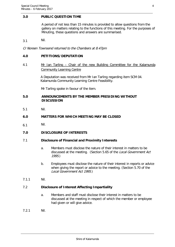#### <span id="page-3-0"></span>**3.0 PUBLIC QUESTION TIME**

A period of not less than 15 minutes is provided to allow questions from the gallery on matters relating to the functions of this meeting. For the purposes of Minuting, these questions and answers are summarised.

3.1 Nil.

Cr Noreen Townsend returned to the Chambers at 8.47pm

#### <span id="page-3-1"></span>**4.0 PETITIONS/DEPUTATION**

4.1 Mr Ian Tarling – Chair of the new Building Committee for the Kalamunda Community Learning Centre

> A Deputation was received from Mr Ian Tarling regarding item SCM 04. Kalamunda Community Learning Centre Feasibility.

Mr Tarling spoke in favour of the item.

#### <span id="page-3-2"></span>**5.0 ANNOUNCEMENTS BY THE MEMBER PRESIDING WITHOUT DISCUSSION**

5.1 Nil.

#### <span id="page-3-3"></span>**6.0 MATTERS FOR WHICH MEETING MAY BE CLOSED**

6.1 Nil.

#### <span id="page-3-4"></span>**7.0 DISCLOSURE OF INTERESTS**

#### 7.1 **Disclosure of Financial and Proximity Interests**

- a. Members must disclose the nature of their interest in matters to be discussed at the meeting. (Section 5.65 of the Local Government Act 1995.)
- b. Employees must disclose the nature of their interest in reports or advice when giving the report or advice to the meeting. (Section 5.70 of the Local Government Act 1995.)
- 7.1.1 Nil.

#### 7.2 **Disclosure of Interest Affecting Impartiality**

- a. Members and staff must disclose their interest in matters to be discussed at the meeting in respect of which the member or employee had given or will give advice.
- 7.2.1 Nil.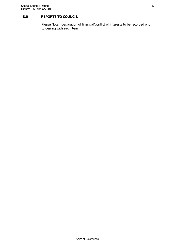#### <span id="page-4-0"></span>**8.0 REPORTS TO COUNCIL**

Please Note: declaration of financial/conflict of interests to be recorded prior to dealing with each item.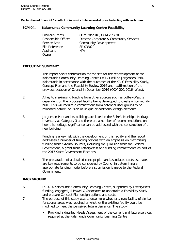**Declaration of financial / conflict of interests to be recorded prior to dealing with each item.**

#### <span id="page-5-0"></span>**SCM 04. Kalamunda Community Learning Centre Feasibility**

Previous Items OCM 28/2016, OCM 209/2016 Service Area **Community Development** File Reference SP-03/020 Applicant N/A **Owner** 

Responsible Officer Director Corporate & Community Services

#### **EXECUTIVE SUMMARY**

- 1. This report seeks confirmation for the site for the redevelopment of the Kalamunda Community Learning Centre (KCLC) will be Jorgensen Park, Kalamunda in accordance with the outcomes of the KCLC Feasibility Study, Concept Plan and the Feasibility Review 2016 and reaffirmation of the previous decision of Council in December 2016 (OCM 209/2016 refers).
- 2. A key to maximising funding from other sources such as LotteryWest is dependent on the proposed facility being developed to create a community hub. This will require a commitment from potential user groups to be relocated before inclusion of unique or additional design elements.
- 3. Jorgensen Park and its buildings are listed in the Shire's Municipal Heritage Inventory as Category 3 and there are a number of recommendations on how this heritage significance can be addressed with the construction of a new building.
- 4. Funding is a key risk with the development of this facility and the report addresses a number of funding options with an emphasis on maximising funding from external sources, including the \$1million from the Federal Government, a grant from LotteryWest and funding commitments as part of the 2017 State Government Elections.
- 5. The preparation of a detailed concept plan and associated costs estimates are key requirements to be considered by Council in determining an appropriate funding model before a submission is made to the Federal Government.

#### **BACKGROUND**

- 6. In 2014 Kalamunda Community Learning Centre, supported by LotteryWest funding, engaged Jill Powell & Associates to undertake a Feasibility Study and prepare Concept Plan design options and costs.
- 7. The purpose of this study was to determine whether a new facility of similar functional areas was required or whether the existing facility could be modified to meet the perceived future demands. The study:
	- Provided a detailed Needs Assessment of the current and future services required at the Kalamunda Community Learning Centre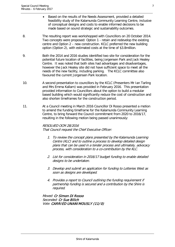- Based on the results of the Needs Assessment, provided a detailed feasibility study of the Kalamunda Community Learning Centre, inclusive of conceptual designs and costs to enable informed decisions to be made based on sound strategic and sustainability outcomes.
- 8. The resulting report was workshopped with Councillors on 20 October 2014. Two concepts were proposed: Option 1 - retain and redevelop the existing centre and Option 2 – new construction. KCLC preferred the new building option (Option 2), with estimated costs at the time of \$3.8million.
- 9. Both the 2014 and 2016 studies identified two site for consideration for the potential future location of facilities, being Jorgensen Park and Jack Healey Centre. It was noted that both sites had advantages and disadvantages, however the Jack Healey site did not have sufficient space to meet all the needs of the new facility, including parking. The KCLC committee also favoured the current Jorgensen Park location.
- 10. A second presentation to councillors by the KCLC (Presenters Mr Ian Tarling and Mrs Emma Kallarn) was provided in February 2016. This presentation provided information to Councillors about the option to build a modular based building which would significantly reduce the cost of construction and also shorten timeframes for the construction period.
- 11. At a Council meeting in March 2016 Councillor Di Rosso presented a motion to amend the funding timeframe for the Kalamunda Community Learning Centre, to bring forward the Council commitment from 2020 to 2016/17, resulting in the following motion being passed unanimously:

### RESOLVED OCM 28/2016

That Council request the Chief Executive Officer:

- 1. To review the concept plans presented by the Kalamunda Learning Centre (KLC) and to outline a process to develop detailed design plans that can be used in a tender process and ultimately, advocacy process, with consideration to a co-contribution by the KLC.
- 2. List for consideration in 2016/17 budget funding to enable detailed designs to be undertaken.
- 3. Develop and submit an application for funding to Lotteries West as soon as designs are developed.
- 4. Provides a report to Council outlining the funding requirement if partnership funding is secured and a contribution by the Shire is required.

Moved: Cr Simon Di Rosso Seconded: Cr Sue Bilich Vote: CARRIED UNANIMOUSLY (11/0)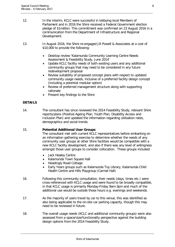- 12. In the interim, KCLC were successful in lobbying local Members of Parliament and in 2016 the Shire received a Federal Government election pledge of \$1million. This commitment was confirmed on 23 August 2016 in a communication from the Department of Infrastructure and Regional Development.
- 13. In August 2016, the Shire re-engaged Jill Powell & Associates at a cost of \$10,000 to provide the following:
	- Desktop review 'Kalamunda Community Learning Centre Needs Assessment & Feasibility Study, June 2014'
	- Update KCLC facility needs of both existing users and any additional community groups that may need to be considered in any future redevelopment proposal
	- Review suitability of proposed concept plans with respect to updated community usage needs, inclusive of a preferred facility design concept (including a potential modular option)
	- Review of preferred management structure along with supporting rationale
	- Present key findings to the Shire

#### **DETAILS**

14. The consultant has since reviewed the 2014 Feasibility Study, relevant Shire reports/plans (Positive Ageing Plan, Youth Plan, Disability Access and Inclusion Plan) and updated the information regarding utilisation rates, demographics and social trends.

#### 15. **Potential Additional User Groups**

The consultant met with current KCLC representatives before embarking on an information gathering exercise to determine whether the needs of any community user groups at other Shire facilities would be compatible with a new KCLC facility development, and also if there was any level of willingness amongst those user groups to consider collocation. These groups included:

- **Jack Healey Centre**
- Kalamunda Town Square Hall
- Headingly Road Cottage
- Early Years groups such as Kalamunda Toy Library, Kalamunda Child Health Centre and Hills Playgroup (Carmel Hall)
- 16. Following this community consultation, their needs (days, times etc.) were cross-referenced with KCLC usage and were found to be broadly compatible, in that KCLC usage is primarily Monday-Friday 9am-3pm and much of the additional use would be outside those hours e.g. evenings and weekends.
- 17. As the majority of users travel by car to this venue, this was identified as also being applicable to the on-site car parking capacity, though this may need to be reviewed in future.
- 18. The overall usage needs (KCLC and additional community groups) were also assessed from a space/size/functionality perspective against the building design options from the 2014 Feasibility Study.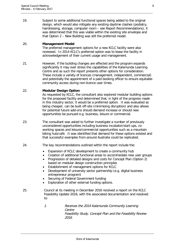19. Subject to some additional functional spaces being added to the original design, which would also mitigate any existing daytime clashes (podiatry, hairdressing, storage, computer room – see Report Recommendations), it was determined that this was viable within the existing site envelope and that Option 2 – New Building was still the preferred model.

#### 20. **Management Model**

The preferred management options for a new KCLC facility were also reviewed. In 2014 KCLC's preferred option was to lease the facility in acknowledgement of their current usage and management.

21. However, if the building changes are effected and the program expands significantly it may over stress the capabilities of the Kalamunda Learning Centre and as such the report presents other options for consideration. These include a variety of licences (management, independent, commercial) and potentially the appointment of a paid booking officer to ensure equitable community access during non-licence user times.

#### 22. **Modular Design Option**

As requested by KCLC, the consultant also explored modular building options for the proposed facility and determined that, in light of the progress made in this industry sector, it would be a preferred option. It was evaluated as being cheaper, can be built off-site (minimising disruption) and also allows for potential future add-ons should demand increase or should new opportunities be pursued e.g. business, leisure or commercial.

- 23. The consultant was asked to further investigate a number of previously unconsidered opportunities including business incubator/start-ups, coworking spaces and leisure/commercial opportunities such as a mountain biking hub/café. It was identified that demand for these options existed and that successful examples from around Australia could be replicated.
- 24. The key recommendations outlined within the report include the:
	- Expansion of KCLC development to create a community hub
	- Creation of additional functional areas to accommodate new user groups
	- Progression of detailed designs and costs for Concept Plan (Option 2) based on modular design construction principles
	- Establishment of management options for KCLC
	- Development of university sector partnership (e.g. digital business entrepreneur program)
	- Securing of Federal Government funding
	- Exploration of other external funding options.
- 25. Council at its meeting in December 2016 received a report on the KCLC Feasibility Update 2016, with the associated documentation and resolved to:
	- 1. Receives the 2014 Kalamunda Community Learning Centre Feasibility Study, Concept Plan and the Feasibility Review 2016.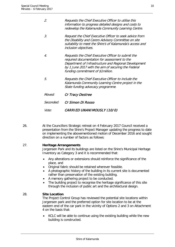| 2.               | Requests the Chief Executive Officer to utilise this<br>information to progress detailed designs and costs to<br>redevelop the Kalamunda Community Learning Centre.                                                                                      |
|------------------|----------------------------------------------------------------------------------------------------------------------------------------------------------------------------------------------------------------------------------------------------------|
| 3.               | Request the Chief Executive Officer to seek advice from<br>the Disability and Carers Advisory Committee on site<br>suitability to meet the Shire's of Kalamunda's access and<br>inclusion objectives.                                                    |
| 4.               | Requests the Chief Executive Officer to submit the<br>required documentation for assessment to the<br>Department of Infrastructure and Regional Development<br>by 1 June 2017 with the aim of securing the Federal<br>funding commitment of \$1 million. |
| 5.               | Requests the Chief Executive Officer to include the<br>Kalamunda Community Learning Centre project in the<br>State funding advocacy programme.                                                                                                           |
| Moved:           | Cr Tracy Destree                                                                                                                                                                                                                                         |
| <i>Seconded:</i> | Cr Simon Di Rosso                                                                                                                                                                                                                                        |

#### Vote: CARRIED UNANIMOUSLY (10/0)

26. At the Councillors Strategic retreat on 4 February 2017 Council received a presentation from the Shire's Project Manager updating the progress to date on implementing the abovementioned motion of December 2016 and sought direction on a number of factors as follows:

#### 27. **Heritage Arrangements**

Jorgensen Park and its buildings are listed on the Shire's Municipal Heritage Inventory as Category 3 and it is recommended that:

- Any alterations or extensions should reinforce the significance of the place, and
- Original fabric should be retained wherever feasible.
- A photographic history of the building in its current site is documented rather than preservation of the existing building.
- A memory gathering project to be conducted.
- The building project to recognise the heritage significance of this site through the inclusion of public art and the architectural design.

#### 28. **Site Location**

The Project Control Group has reviewed the potential site locations within Jorgensen park and the preferred option for site location to be at the eastern end of the car park in the vicinity of Options 2 and 3 on Attachment 4 on the basis that:

• KCLC will be able to continue using the existing building while the new building is constructed.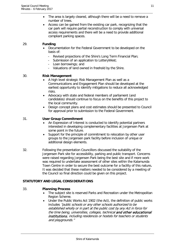- The area is largely cleared, although there will be a need to remove a number of trees.
- Access can be gained from the existing car park, recognizing that the car park will require partial reconstruction to comply with universal access requirements and there will be a need to provide additional compliant parking spaces.

#### 29. **Funding**

- Documentation for the Federal Government to be developed on the basis of:
	- Revised projections of the Shire's Long Term Financial Plan;<br>- Submission of an application to LotteryWest:
	- Submission of an application to LotteryWest;
	- Loan borrowings; and
	- Valuations of land owned in freehold by the Shire.

#### 30. **Risk Management**

- A high level strategic Risk Management Plan as well as a Communications and Engagement Plan should be developed at the earliest opportunity to identify mitigations to reduce all acknowledged risks.
- Advocacy with state and federal members of parliament (and candidates) should continue to focus on the benefits of this project to the local community.
- Design concept plans and cost estimates should be presented to Council for approval prior to submission to the Federal Government.

#### 31. **User Group Commitment**

- An Expression of Interest is conducted to identify potential partners interested in developing complementary facilities at Jorgensen Park at some point in the future.
- Support for the principle of commitment to relocation by other user groups to the Jorgensen park facility before inclusion of unique or additional design elements.
- 32. Following the presentation Councillors discussed the suitability of the Jorgensen Park site for accessibility, parking and public transport. Concerns were raised regarding Jorgensen Park being the best site and if more work was required to undertake assessment of other sites within the Kalamunda Town Centre in order to secure the best outcome for a facility of this nature**.** It was decided that these matters needed to be considered by a meeting of the Council so final direction could be given on this project.

#### **STATUTORY AND LEGAL CONSIDERATIONS**

#### 33. **Planning Process**

- The subject site is reserved Parks and Recreation under the Metropolitan Region Scheme.
- Under the Public Works Act 1902 (the Act), the definition of public works includes "public schools or any other schools authorized to be established wholly or in part at the public cost by any Act in force for the time being, universities, colleges, technical and other educational institutions, including residences or hostels for teachers or students and playgrounds."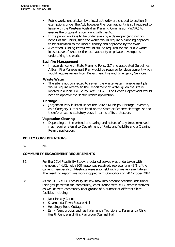- Public works undertaken by a local authority are entitled to section 6 exemptions under the Act, however the local authority is still required to liaise with the Western Australian Planning Commission (WAPC) to ensure the proposal is compliant with the Act.
- If the public works is to be undertaken by a developer (and not on behalf of the Shire), then the works would require a planning approval to be submitted to the local authority and approved by the WAPC.
- A certified Building Permit would still be required for the public works irrespective of whether the local authority or private developer is undertaking the works.

#### **Bushfire Management**

• In accordance with State Planning Policy 3.7 and associated Guidelines, A Bush Fire Management Plan would be required for development which would require review from Department Fire and Emergency Services.

#### **Waste Water**

The site is not connected to sewer, the waste water management plan would require referral to the Department of Water given the site is located in a Plan, Do, Study, Act (PDSA). The Health Department would need to approve the septic licence application.

#### **Heritage**

• Jorgensen Park is listed under the Shire's Municipal Heritage Inventory as a Category 3, it is not listed on the State or Scheme Heritage list and therefore has no statutory basis in terms of its protection.

#### **Vegetation Clearing**

• Depending on the extend of clearing and nature of any trees removed, may require referral to Department of Parks and Wildlife and a Clearing Permit application.

#### **POLICY CONSIDERATIONS**

34. Nil.

#### **COMMUNITY ENGAGEMENT REQUIREMENTS**

- 35. For the 2014 Feasibility Study, a detailed survey was undertaken with members of KLCL, with 300 responses received, representing 43% of the current membership. Meetings were also held with Shire representatives. The resulting report was workshopped with Councillors on 20 October 2014.
- 36. As the 2016 KCLC Feasibility Review took into account potential additional user groups within the community, consultation with KCLC representatives as well as with community user groups of a number of different Shire facilities including:
	- Jack Healey Centre
	- Kalamunda Town Square Hall
	- Headingly Road Cottage
	- Early Years groups such as Kalamunda Toy Library, Kalamunda Child Health Centre and Hills Playgroup (Carmel Hall)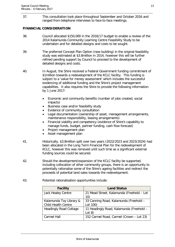37. This consultation took place throughout September and October 2016 and ranged from telephone interviews to face-to-face meetings.

#### **FINANCIAL CONSIDERATION**

- 38. Council allocated \$150,000 in the 2016/17 budget to enable a review of the 2014 Kalamunda Community Learning Centre Feasibility Study to be undertaken and for detailed designs and costs to be sought.
- 39. The preferred Concept Plan Option (new building) in the original feasibility study was estimated at \$3.8million in 2014, however this will be further refined pending support by Council to proceed to the development of detailed designs and costs.
- 40. In August, the Shire received a Federal Government funding commitment of \$1million towards a redevelopment of the KCLC facility. This funding is subject to a 'value for money assessment' which includes the successful evidencing of additional funding and the Shire's project management capabilities. It also requires the Shire to provide the following information by 1 June 2017:
	- Economic and community benefits (number of jobs created, social impacts)
	- Business case and/or feasibility study
	- Evidence of community consultation
	- Legal documentation (ownership of asset, management arrangements, maintenance responsibility, leasing arrangements)
	- Financial viability and competency (evidence of Shire's capability to manage funds, budget, partner funding, cash flow forecast)
	- Project management plan
	- Asset management plan
- 41. Historically, \$3.8million split over two years (2022/2023 and 2023/2024) had been allocated in the Long Term Financial Plan for the redevelopment of KCLC, however this was removed until such time as a significant external funding sources could be secured.
- 42. Should the development/expansion of the KCLC facility be supported, including collocation of other community groups, there is an opportunity to potentially rationalise some of the Shire's ageing facilities and redirect the proceeds of potential land sales towards the redevelopment.

| <b>Land Status</b>                        |
|-------------------------------------------|
| 21 Mead Street, Kalamunda (Freehold - Lot |
| 10)                                       |
| 33 Canning Road, Kalamunda (Freehold -    |
| Lot 100)                                  |
| 11 Headingly Road, Kalamunda (Freehold -  |
| Lot 8)                                    |
| 152 Carmel Road, Carmel (Crown - Lot 23)  |
|                                           |

43. Potential rationalisation opportunities include: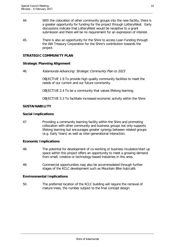- 44. With the colocation of other community groups into the new facility, there is a greater opportunity for funding for the project through LotteryWest. Early discussions indicate that LotteryWest would be receptive to a grant submission and there will be no requirement for an expression of interest.
- 45. There is also an opportunity for the Shire to access Loan Funding through the WA Treasury Corporation for the Shire's contribution towards the project.

#### **STRATEGIC COMMUNITY PLAN**

#### **Strategic Planning Alignment**

46. Kalamunda Advancing: Strategic Community Plan to 2023

OBJECTIVE 1.9 To provide high quality community facilities to meet the needs of our current and our future community.

OBJECTIVE 2.4 To be a community that values lifelong learning.

OBJECTIVE 5.3 To facilitate increased economic activity within the Shire.

#### **SUSTAINABILITY**

#### **Social Implications**

47. Providing a community learning facility within the Shire and promoting collocation with other community and business groups not only supports lifelong learning but encourages greater synergy between related groups (e.g. Early Years) as well as inter-generational interaction.

#### **Economic Implications**

- 48. The potential for development of co-working or business incubator/start up space within this project offers an opportunity to meet a growing demand from small, creative or technology-based industries in this area.
- 49. Commercial opportunities may also be accommodated through further stages of the KCLC development such as Mountain Bike hub/café.

#### **Environmental Implications**

50. The preferred location of the KCLC building will require the removal of mature trees, the number subject to the final concept design.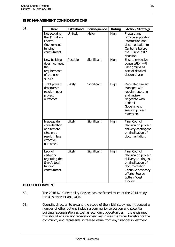|                               | ۰. |  |
|-------------------------------|----|--|
| ۰,<br>۰.<br>٦<br>I<br>×<br>۰. |    |  |

| 51. | <b>Risk</b>                                                                                         | Likelihood | Consequence | Rating | <b>Action/Strategy</b>                                                                                                                                                        |
|-----|-----------------------------------------------------------------------------------------------------|------------|-------------|--------|-------------------------------------------------------------------------------------------------------------------------------------------------------------------------------|
|     | Not securing<br>the \$1 million<br>Federal<br>Government<br>funding<br>commitment                   | Unlikely   | Major       | High   | Prepare and<br>provide supporting<br>information and<br>documentation to<br>Canberra before<br>the 1 June 2017<br>deadline                                                    |
|     | New building<br>does not meet<br>the<br>requirements<br>of the user<br>groups                       | Possible   | Significant | High   | Ensure extensive<br>consultation with<br>user groups as<br>part of detailed<br>design phase                                                                                   |
|     | Tight project<br>timeframes<br>result in poor<br>project<br>outcomes.                               | Likely     | Significant | High   | <b>Dedicated Project</b><br>Manager with<br>regular reporting<br>and review.<br>Negotiate with<br>Federal<br>Government<br>seeking project<br>extension.                      |
|     | Inadequate<br>consideration<br>of alternate<br>sites may<br>result in less<br>effective<br>outcomes | Likely     | Significant | High   | <b>Final Council</b><br>decision on project<br>delivery contingent<br>on finalisation of<br>documentation.                                                                    |
|     | Lack of<br>certainty<br>regarding the<br>Shire's total<br>funding<br>commitment.                    | Likely     | Significant | High   | <b>Final Council</b><br>decision on project<br>delivery contingent<br>on finalisation of<br>documentation<br>Continue advocacy<br>efforts. Source<br>Lottery West<br>funding. |

#### **OFFICER COMMENT**

- 52. The 2016 KCLC Feasibility Review has confirmed much of the 2014 study remains relevant and valid.
- 53. Council's direction to expand the scope of the initial study has introduced a number of other options including community colocation and potential building rationalisation as well as economic opportunities. It is envisaged this should ensure any redevelopment maximises the wider benefits for the community and represents increased value from any financial investment.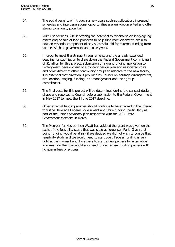- 54. The social benefits of introducing new users such as collocation, increased synergies and intergenerational opportunities are well-documented and offer strong community potential.
- 55. Multi use facilities, whilst offering the potential to rationalise existing/ageing assets and/or sale of land proceeds to help fund redevelopment, are also now an essential component of any successful bid for external funding from sources such as government and Lotterywest.
- 56. In order to meet the stringent requirements and the already extended deadline for submission to draw down the Federal Government commitment of \$1million for this project, submission of a grant funding application to LotteryWest, development of a concept design plan and associated costs and commitment of other community groups to relocate to the new facility, it is essential that direction is provided by Council on heritage arrangements, site location, staging, funding, risk management and user group commitment.
- 57. The final costs for this project will be determined during the concept design phase and reported to Council before submission to the Federal Government in May 2017 to meet the 1 June 2017 deadline.
- 58. Other external funding sources should continue to be explored in the interim to further leverage Federal Government and Shire funding, particularly as part of the Shire's advocacy plan associated with the 2017 State Government elections in March.
- 59. The Member for Hasluck Ken Wyatt has advised the grant was given on the basis of the feasibility study that was sited at Jorgensen Park. Given that point, funding would be at risk if we decided we did not wish to pursue that feasibility study and we would need to start over. Federal funding is very tight at the moment and if we were to start a new process for alternative site selection then we would also need to start a new funding process with no guarantees of success.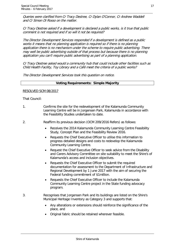Queries were clarified from Cr Tracy Destree, Cr Dylan O'Connor, Cr Andrew Waddell and Cr Simon Di Rosso on the matter.

Cr Tracy Destree asked if a development is declared a public works, is it true that public comment is not required and if so will it not be required?

The Director Development Services responded if a development is defined as a public works it means that no planning application is required so if there is no planning application there is no mechanism under the scheme to require public advertising. There may well be public advertising outside of that process but because there is no planning application you can't require public advertising as part of a planning application.

Cr Tracy Destree asked would a community hub that could include other facilities such as Child Health Facility, Toy Library and a Café meet the criteria of a public works?

The Director Development Services took this question on notice.

#### **Voting Requirements: Simple Majority**

#### RESOLVED SCM 08/2017

That Council:

- 1. Confirms the site for the redevelopment of the Kalamunda Community Learning Centre will be in Jorgensen Park, Kalamunda in accordance with the Feasibility Studies undertaken to date.
- 2. Reaffirm its previous decision (OCM 209/2016 Refers) as follows:
	- Receives the 2014 Kalamunda Community Learning Centre Feasibility Study, Concept Plan and the Feasibility Review 2016.
	- Requests the Chief Executive Officer to utilise this information to progress detailed designs and costs to redevelop the Kalamunda Community Learning Centre.
	- Request the Chief Executive Officer to seek advice from the Disability and Carers Advisory Committee on site suitability to meet the Shire's of Kalamunda's access and inclusion objectives.
	- Requests the Chief Executive Officer to submit the required documentation for assessment to the Department of Infrastructure and Regional Development by 1 June 2017 with the aim of securing the Federal funding commitment of \$1million.
	- Requests the Chief Executive Officer to include the Kalamunda Community Learning Centre project in the State funding advocacy program.
- 3. Recognises that Jorgensen Park and its buildings are listed on the Shire's Municipal Heritage Inventory as Category 3 and supports that:
	- Any alterations or extensions should reinforce the significance of the place, and
	- Original fabric should be retained wherever feasible.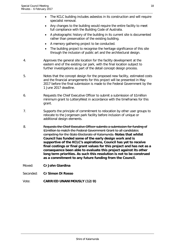- Any changes to the building would require the entire facility to meet full compliance with the Building Code of Australia.
- A photographic history of the building in its current site is documented rather than preservation of the existing building.
- A memory gathering project to be conducted.
- The building project to recognise the heritage significance of this site through the inclusion of public art and the architectural design.
- 4. Approves the general site location for the facility development at the eastern end of the existing car park, with the final location subject to further investigations as part of the detail concept design process.
- 5. Notes that the concept design for the proposed new facility, estimated costs and the financial arrangements for this project will be presented in May 2017 before the final submission is made to the Federal Government by the 1 June 2017 deadline.
- 6. Requests the Chief Executive Officer to submit a submission of \$1million minimum grant to LotteryWest in accordance with the timeframes for this grant.
- 7. Supports the principle of commitment to relocation by other user groups to relocate to the Jorgensen park facility before inclusion of unique or additional design elements.
- 8. Requests the Chief Executive Officer submits a submission for funding of \$1 million to match the Federal Government Grant to all candidates competing for the State Electorate of Kalamunda. **Notes that whilst Council has funded some of the early design work and is supportive of the KCLC's aspirations, Council has yet to receive final costings or final grant values for this project and has not as a consequence been able to evaluate this project against its other long term priorities. As such this resolution is not to be construed as a commitment to any future funding from the Council.**
- Moved: **Cr John Giardina**
- Seconded: **Cr Simon Di Rosso**
- Vote: **CARRIED UNANIMOUSLY (12/0)**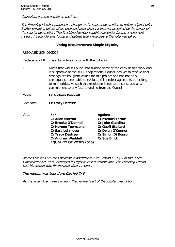Councillors entered debate on the item.

The Presiding Member proposed a change to the substantive motion to delete original point 8 after providing details of his proposed amendment it was not accepted by the mover of the substantive motion. The Presiding Member sought a seconder for the amendment motion. A seconder was found and debate took place before the vote was taken.

#### **Voting Requirements: Simple Majority**

#### RESOLVED SCM 06/2017

Replace point 8 in the substantive motion with the following:

1. Notes that whilst Council has funded some of the early design work and is supportive of the KCLC's aspirations, Council has yet to receive final costings or final grant values for this project and has not as a consequence been able to evaluate this project against its other long term priorities. As such this resolution is not to be construed as a commitment to any future funding from the Council.

Moved: **Cr Andrew Waddell**

Seconded: **Cr Tracy Destree**

| Vote: | For                                                        | Against                  |
|-------|------------------------------------------------------------|--------------------------|
|       | <b>Cr Allan Morton</b>                                     | <b>Cr Michael Fernie</b> |
|       | <b>Cr Brooke O'Donnell</b>                                 | Cr John Giardina         |
|       | <b>Cr Noreen Townsend</b>                                  | <b>Cr Geoff Stallard</b> |
|       | <b>Cr Sara Lohmeyer</b>                                    | Cr Dylan O'Connor        |
|       | <b>Cr Tracy Destree</b>                                    | <b>Cr Simon Di Rosso</b> |
|       | <b>Cr Andrew Waddell</b><br><b>EQUALITY OF VOTES (6/6)</b> | <b>Cr Sue Bilich</b>     |
|       |                                                            |                          |
|       |                                                            |                          |

As the vote was 6/6 the Chairman in accordance with Section 5.21 (3) of the "Local Government Act 1995" exercised his right to cast a second vote. The Presiding Person cast his second vote for the amendment motion.

#### The motion was therefore Carried 7/6.

As this amendment was carried it then formed part of the substantive motion.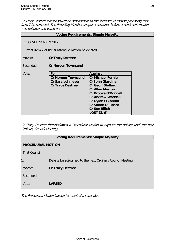Cr Tracy Destree foreshadowed an amendment to the substantive motion proposing that item 7 be removed. The Presiding Member sought a seconder before amendment motion was debated and voted on.

| <b>Voting Requirements: Simple Majority</b>          |                           |                            |  |  |
|------------------------------------------------------|---------------------------|----------------------------|--|--|
| RESOLVED SCM 07/2017                                 |                           |                            |  |  |
| Current item 7 of the substantive motion be deleted. |                           |                            |  |  |
| Moved:<br><b>Cr Tracy Destree</b>                    |                           |                            |  |  |
| Seconded:<br><b>Cr Noreen Townsend</b>               |                           |                            |  |  |
| Vote:                                                | For                       | Against                    |  |  |
|                                                      | <b>Cr Noreen Townsend</b> | <b>Cr Michael Fernie</b>   |  |  |
|                                                      | Cr Sara Lohmeyer          | <b>Cr John Giardina</b>    |  |  |
|                                                      | <b>Cr Tracy Destree</b>   | <b>Cr Geoff Stallard</b>   |  |  |
|                                                      |                           | <b>Cr Allan Morton</b>     |  |  |
|                                                      |                           | <b>Cr Brooke O'Donnell</b> |  |  |
|                                                      |                           | <b>Cr Andrew Waddell</b>   |  |  |
|                                                      |                           | <b>Cr Dylan O'Connor</b>   |  |  |
|                                                      |                           | <b>Cr Simon Di Rosso</b>   |  |  |
|                                                      |                           | <b>Cr Sue Bilich</b>       |  |  |
|                                                      |                           | LOST (3/9)                 |  |  |

Cr Tracy Destree foreshadowed a Procedural Motion to adjourn the debate until the next Ordinary Council Meeting.

| <b>Voting Requirements: Simple Majority</b> |                                                           |  |
|---------------------------------------------|-----------------------------------------------------------|--|
| <b>PROCEDURAL MOTION</b>                    |                                                           |  |
| That Council:                               |                                                           |  |
| $\mathbf{1}$ .                              | Debate be adjourned to the next Ordinary Council Meeting. |  |
| Moved:                                      | <b>Cr Tracy Destree</b>                                   |  |
| Seconded:                                   |                                                           |  |
| Vote:                                       | <b>LAPSED</b>                                             |  |
|                                             |                                                           |  |

The Procedural Motion Lapsed for want of a seconder.